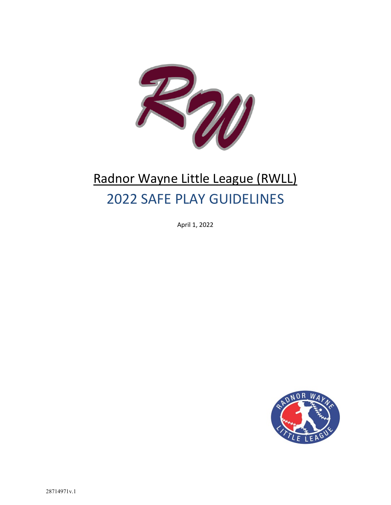

## Radnor Wayne Little League (RWLL) 2022 SAFE PLAY GUIDELINES

April 1, 2022

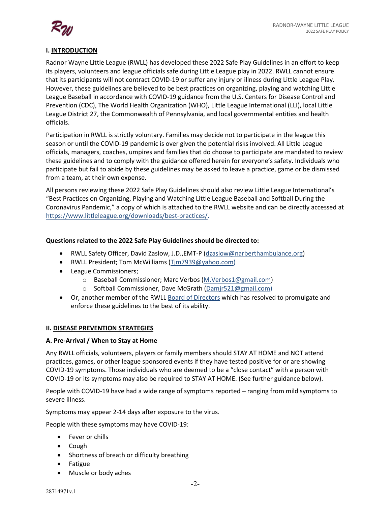

### **I. INTRODUCTION**

Radnor Wayne Little League (RWLL) has developed these 2022 Safe Play Guidelines in an effort to keep its players, volunteers and league officials safe during Little League play in 2022. RWLL cannot ensure that its participants will not contract COVID-19 or suffer any injury or illness during Little League Play. However, these guidelines are believed to be best practices on organizing, playing and watching Little League Baseball in accordance with COVID-19 guidance from the U.S. Centers for Disease Control and Prevention (CDC), The World Health Organization (WHO), Little League International (LLI), local Little League District 27, the Commonwealth of Pennsylvania, and local governmental entities and health officials.

Participation in RWLL is strictly voluntary. Families may decide not to participate in the league this season or until the COVID-19 pandemic is over given the potential risks involved. All Little League officials, managers, coaches, umpires and families that do choose to participate are mandated to review these guidelines and to comply with the guidance offered herein for everyone's safety. Individuals who participate but fail to abide by these guidelines may be asked to leave a practice, game or be dismissed from a team, at their own expense.

All persons reviewing these 2022 Safe Play Guidelines should also review Little League International's "Best Practices on Organizing, Playing and Watching Little League Baseball and Softball During the Coronavirus Pandemic," a copy of which is attached to the RWLL website and can be directly accessed at https://www.littleleague.org/downloads/best-practices/.

### **Questions related to the 2022 Safe Play Guidelines should be directed to:**

- RWLL Safety Officer, David Zaslow, J.D.,EMT-P (dzaslow@narberthambulance.org)
- RWLL President; Tom McWilliams (Tjm7939@yahoo.com)
- League Commissioners;
	- o Baseball Commissioner; Marc Verbos (M.Verbos1@gmail.com)
	- o Softball Commissioner, Dave McGrath (Damjr521@gmail.com)
- Or, another member of the RWLL Board of Directors which has resolved to promulgate and enforce these guidelines to the best of its ability.

### **II. DISEASE PREVENTION STRATEGIES**

### **A. Pre-Arrival / When to Stay at Home**

Any RWLL officials, volunteers, players or family members should STAY AT HOME and NOT attend practices, games, or other league sponsored events if they have tested positive for or are showing COVID-19 symptoms. Those individuals who are deemed to be a "close contact" with a person with COVID-19 or its symptoms may also be required to STAY AT HOME. (See further guidance below).

People with COVID-19 have had a wide range of symptoms reported – ranging from mild symptoms to severe illness.

Symptoms may appear 2-14 days after exposure to the virus.

People with these symptoms may have COVID-19:

- Fever or chills
- Cough
- Shortness of breath or difficulty breathing
- Fatigue
- Muscle or body aches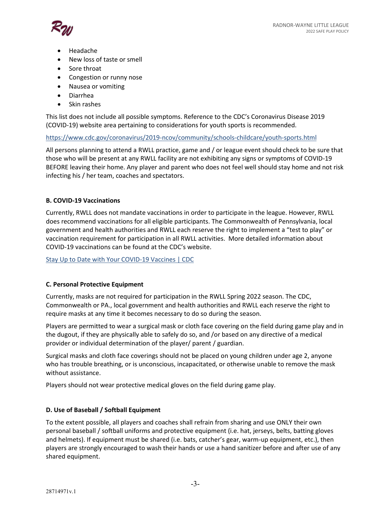

- Headache
- New loss of taste or smell
- Sore throat
- Congestion or runny nose
- Nausea or vomiting
- Diarrhea
- Skin rashes

This list does not include all possible symptoms. Reference to the CDC's Coronavirus Disease 2019 (COVID-19) website area pertaining to considerations for youth sports is recommended.

https://www.cdc.gov/coronavirus/2019-ncov/community/schools-childcare/youth-sports.html

All persons planning to attend a RWLL practice, game and / or league event should check to be sure that those who will be present at any RWLL facility are not exhibiting any signs or symptoms of COVID-19 BEFORE leaving their home. Any player and parent who does not feel well should stay home and not risk infecting his / her team, coaches and spectators.

### **B. COVID-19 Vaccinations**

Currently, RWLL does not mandate vaccinations in order to participate in the league. However, RWLL does recommend vaccinations for all eligible participants. The Commonwealth of Pennsylvania, local government and health authorities and RWLL each reserve the right to implement a "test to play" or vaccination requirement for participation in all RWLL activities. More detailed information about COVID-19 vaccinations can be found at the CDC's website.

Stay Up to Date with Your COVID-19 Vaccines | CDC

### **C. Personal Protective Equipment**

Currently, masks are not required for participation in the RWLL Spring 2022 season. The CDC, Commonwealth or PA., local government and health authorities and RWLL each reserve the right to require masks at any time it becomes necessary to do so during the season.

Players are permitted to wear a surgical mask or cloth face covering on the field during game play and in the dugout, if they are physically able to safely do so, and /or based on any directive of a medical provider or individual determination of the player/ parent / guardian.

Surgical masks and cloth face coverings should not be placed on young children under age 2, anyone who has trouble breathing, or is unconscious, incapacitated, or otherwise unable to remove the mask without assistance.

Players should not wear protective medical gloves on the field during game play.

### **D. Use of Baseball / Softball Equipment**

To the extent possible, all players and coaches shall refrain from sharing and use ONLY their own personal baseball / softball uniforms and protective equipment (i.e. hat, jerseys, belts, batting gloves and helmets). If equipment must be shared (i.e. bats, catcher's gear, warm-up equipment, etc.), then players are strongly encouraged to wash their hands or use a hand sanitizer before and after use of any shared equipment.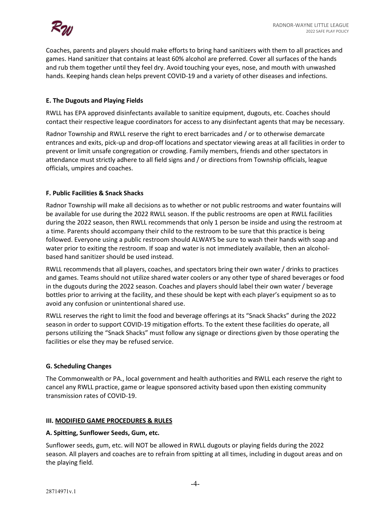

Coaches, parents and players should make efforts to bring hand sanitizers with them to all practices and games. Hand sanitizer that contains at least 60% alcohol are preferred. Cover all surfaces of the hands and rub them together until they feel dry. Avoid touching your eyes, nose, and mouth with unwashed hands. Keeping hands clean helps prevent COVID-19 and a variety of other diseases and infections.

### **E. The Dugouts and Playing Fields**

RWLL has EPA approved disinfectants available to sanitize equipment, dugouts, etc. Coaches should contact their respective league coordinators for access to any disinfectant agents that may be necessary.

Radnor Township and RWLL reserve the right to erect barricades and / or to otherwise demarcate entrances and exits, pick-up and drop-off locations and spectator viewing areas at all facilities in order to prevent or limit unsafe congregation or crowding. Family members, friends and other spectators in attendance must strictly adhere to all field signs and / or directions from Township officials, league officials, umpires and coaches.

### **F. Public Facilities & Snack Shacks**

Radnor Township will make all decisions as to whether or not public restrooms and water fountains will be available for use during the 2022 RWLL season. If the public restrooms are open at RWLL facilities during the 2022 season, then RWLL recommends that only 1 person be inside and using the restroom at a time. Parents should accompany their child to the restroom to be sure that this practice is being followed. Everyone using a public restroom should ALWAYS be sure to wash their hands with soap and water prior to exiting the restroom. If soap and water is not immediately available, then an alcoholbased hand sanitizer should be used instead.

RWLL recommends that all players, coaches, and spectators bring their own water / drinks to practices and games. Teams should not utilize shared water coolers or any other type of shared beverages or food in the dugouts during the 2022 season. Coaches and players should label their own water / beverage bottles prior to arriving at the facility, and these should be kept with each player's equipment so as to avoid any confusion or unintentional shared use.

RWLL reserves the right to limit the food and beverage offerings at its "Snack Shacks" during the 2022 season in order to support COVID-19 mitigation efforts. To the extent these facilities do operate, all persons utilizing the "Snack Shacks" must follow any signage or directions given by those operating the facilities or else they may be refused service.

### **G. Scheduling Changes**

The Commonwealth or PA., local government and health authorities and RWLL each reserve the right to cancel any RWLL practice, game or league sponsored activity based upon then existing community transmission rates of COVID-19.

### **III. MODIFIED GAME PROCEDURES & RULES**

### **A. Spitting, Sunflower Seeds, Gum, etc.**

Sunflower seeds, gum, etc. will NOT be allowed in RWLL dugouts or playing fields during the 2022 season. All players and coaches are to refrain from spitting at all times, including in dugout areas and on the playing field.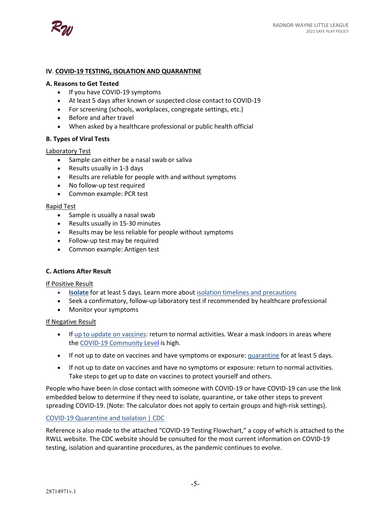

### **IV**. **COVID-19 TESTING, ISOLATION AND QUARANTINE**

#### **A. Reasons to Get Tested**

- If you have COVID-19 symptoms
- At least 5 days after known or suspected close contact to COVID-19
- For screening (schools, workplaces, congregate settings, etc.)
- Before and after travel
- When asked by a healthcare professional or public health official

### **B. Types of Viral Tests**

### Laboratory Test

- Sample can either be a nasal swab or saliva
- Results usually in 1-3 days
- Results are reliable for people with and without symptoms
- No follow-up test required
- Common example: PCR test

### Rapid Test

- Sample is usually a nasal swab
- Results usually in 15-30 minutes
- Results may be less reliable for people without symptoms
- Follow-up test may be required
- Common example: Antigen test

### **C. Actions After Result**

#### If Positive Result

- **Isolate** for at least 5 days. Learn more about isolation timelines and precautions
- Seek a confirmatory, follow-up laboratory test if recommended by healthcare professional
- Monitor your symptoms

#### If Negative Result

- If up to update on vaccines: return to normal activities. Wear a mask indoors in areas where the COVID-19 Community Level is high.
- If not up to date on vaccines and have symptoms or exposure: quarantine for at least 5 days.
- If not up to date on vaccines and have no symptoms or exposure: return to normal activities. Take steps to get up to date on vaccines to protect yourself and others.

People who have been in close contact with someone with COVID-19 or have COVID-19 can use the link embedded below to determine if they need to isolate, quarantine, or take other steps to prevent spreading COVID-19. (Note: The calculator does not apply to certain groups and high-risk settings).

### COVID-19 Quarantine and Isolation | CDC

Reference is also made to the attached "COVID-19 Testing Flowchart," a copy of which is attached to the RWLL website. The CDC website should be consulted for the most current information on COVID-19 testing, isolation and quarantine procedures, as the pandemic continues to evolve.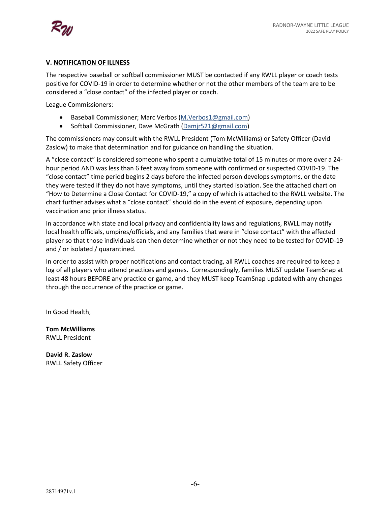

### **V. NOTIFICATION OF ILLNESS**

The respective baseball or softball commissioner MUST be contacted if any RWLL player or coach tests positive for COVID-19 in order to determine whether or not the other members of the team are to be considered a "close contact" of the infected player or coach.

League Commissioners:

- Baseball Commissioner; Marc Verbos (M.Verbos1@gmail.com)
- Softball Commissioner, Dave McGrath (Damjr521@gmail.com)

The commissioners may consult with the RWLL President (Tom McWilliams) or Safety Officer (David Zaslow) to make that determination and for guidance on handling the situation.

A "close contact" is considered someone who spent a cumulative total of 15 minutes or more over a 24 hour period AND was less than 6 feet away from someone with confirmed or suspected COVID-19. The "close contact" time period begins 2 days before the infected person develops symptoms, or the date they were tested if they do not have symptoms, until they started isolation. See the attached chart on "How to Determine a Close Contact for COVID-19," a copy of which is attached to the RWLL website. The chart further advises what a "close contact" should do in the event of exposure, depending upon vaccination and prior illness status.

In accordance with state and local privacy and confidentiality laws and regulations, RWLL may notify local health officials, umpires/officials, and any families that were in "close contact" with the affected player so that those individuals can then determine whether or not they need to be tested for COVID-19 and / or isolated / quarantined.

In order to assist with proper notifications and contact tracing, all RWLL coaches are required to keep a log of all players who attend practices and games. Correspondingly, families MUST update TeamSnap at least 48 hours BEFORE any practice or game, and they MUST keep TeamSnap updated with any changes through the occurrence of the practice or game.

In Good Health,

**Tom McWilliams** RWLL President

**David R. Zaslow** RWLL Safety Officer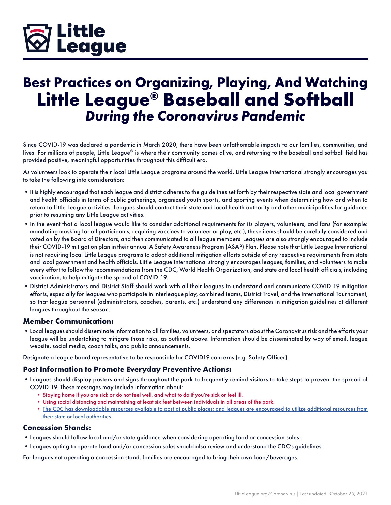### **Little 7 League**

### **Best Practices on Organizing, Playing, And Watching Little League® Baseball and Softball** *During the Coronavirus Pandemic*

Since COVID-19 was declared a pandemic in March 2020, there have been unfathomable impacts to our families, communities, and lives. For millions of people, Little League® is where their community comes alive, and returning to the baseball and softball field has provided positive, meaningful opportunities throughout this difficult era.

As volunteers look to operate their local Little League programs around the world, Little League International strongly encourages you to take the following into consideration:

- •It is highly encouraged that each league and district adheres to the guidelines set forth by their respective state and local government and health officials in terms of public gatherings, organized youth sports, and sporting events when determining how and when to return to Little League activities. Leagues should contact their state and local health authority and other municipalities for guidance prior to resuming any Little League activities.
- •In the event that a local league would like to consider additional requirements for its players, volunteers, and fans (for example: mandating masking for all participants, requiring vaccines to volunteer or play, etc.), these items should be carefully considered and voted on by the Board of Directors, and then communicated to all league members. Leagues are also strongly encouraged to include their COVID-19 mitigation plan in their annual A Safety Awareness Program (ASAP) Plan. Please note that Little League International is not requiring local Little League programs to adopt additional mitigation efforts outside of any respective requirements from state and local government and health officials. Little League International strongly encourages leagues, families, and volunteers to make every effort to follow the recommendations from the CDC, World Health Organization, and state and local health officials, including vaccination, to help mitigate the spread of COVID-19.
- •District Administrators and District Staff should work with all their leagues to understand and communicate COVID-19 mitigation efforts, especially for leagues who participate in interleague play, combined teams, District Travel, and the International Tournament, so that league personnel (administrators, coaches, parents, etc.) understand any differences in mitigation guidelines at different leagues throughout the season.

### **Member Communication:**

•Local leagues should disseminate information to all families, volunteers, and spectators about the Coronavirus risk and the efforts your league will be undertaking to mitigate those risks, as outlined above. Information should be disseminated by way of email, league website, social media, coach talks, and public announcements.

Designate a league board representative to be responsible for COVID19 concerns (e.g. Safety Officer).

### **Post Information to Promote Everyday Preventive Actions:**

- •Leagues should display posters and signs throughout the park to frequently remind visitors to take steps to prevent the spread of COVID-19. These messages may include information about:
	- Staying home if you are sick or do not feel well, and what to do if you're sick or feel ill.
	- Using social distancing and maintaining at least six feet between individuals in all areas of the park.
	- The CDC has downloadable resources available to post at public places; and leagues are encouraged to utilize additional resources from their state or local authorities.

### **Concession Stands:**

- •Leagues should follow local and/or state guidance when considering operating food or concession sales.
- •Leagues opting to operate food and/or concession sales should also review and understand the CDC's guidelines.

For leagues not operating a concession stand, families are encouraged to bring their own food/beverages.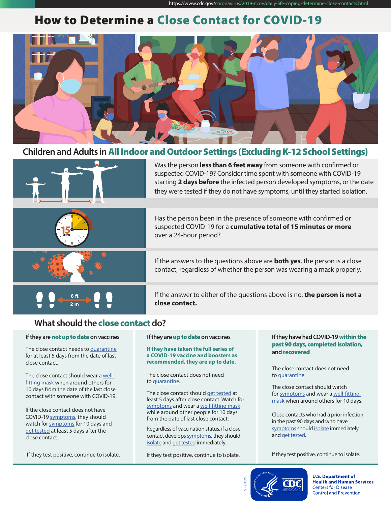### How to Determine a Close Contact for COVID-19



### **Children and Adults in** All Indoor and Outdoor Settings (Excluding K-12 School Settings)



Was the person **less than 6 feet away** from someone with confirmed or suspected COVID-19? Consider time spent with someone with COVID-19 starting **2 days before** the infected person developed symptoms, or the date they were tested if they do not have symptoms, until they started isolation.

Has the person been in the presence of someone with confirmed or suspected COVID-19 for a **cumulative total of 15 minutes or more**  over a 24-hour period?



If the answers to the questions above are **both yes**, the person is a close contact, regardless of whether the person was wearing a mask properly.

If the answer to either of the questions above is no, **the person is not a close contact.**

### **What should the** close contact **do?**

#### **If they are** not up to date **on vaccines**

The close contact needs to quarantine for at least 5 days from the date of last close contact.

The close contact should wear a wellfitting mask when around others for 10 days from the date of the last close contact with someone with COVID-19.

If the close contact does not have COVID-19 symptoms, they should watch for symptoms for 10 days and get tested at least 5 days after the close contact.

If they test positive, continue to isolate.

#### **If they are** up to date **on vaccines**

#### **If they have taken the full series of a COVID-19 vaccine and boosters as recommended, they are up to date.**

The close contact does not need to quarantine.

The close contact should get tested at least 5 days after close contact. Watch for symptoms and wear a well-fitting mask while around other people for 10 days from the date of last close contact.

Regardless of vaccination status, if a close contact develops symptoms, they should isolate and get tested immediately.

If they test positive, continue to isolate.

#### **If they have had COVID-19** within the past 90 days, completed isolation, **and** recovered

The close contact does not need to quarantine.

The close contact should watch for symptoms and wear a well-fitting mask when around others for 10 days.

Close contacts who had a prior infection in the past 90 days and who have symptoms should isolate immediately and get tested.

If they test positive, continue to isolate.



**U.S. Department of Health and Human Services Centers for Disease Control and Prevention**